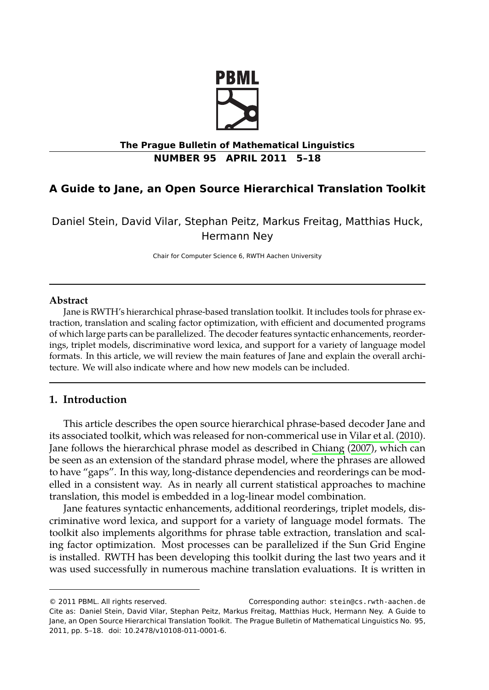

# **The Prague Bulletin of Mathematical Linguistics NUMBER 95 APRIL 2011 5–18**

# **A Guide to Jane, an Open Source Hierarchical Translation Toolkit**

Daniel Stein, David Vilar, Stephan Peitz, Markus Freitag, Matthias Huck, Hermann Ney

Chair for Computer Science 6, RWTH Aachen University

#### **Abstract**

Jane is RWTH's hierarchical phrase-based translation toolkit. It includes tools for phrase extraction, translation and scaling factor optimization, with efficient and doc[umented program](#page-12-0)s of which large parts can be parallelized. The decoder features synt[actic enh](#page-10-0)a[ncem](#page-10-0)ents, reorderings, triplet models, discriminative word lexica, and support for a variety of language model formats. In this article, we will review the main features of Jane and explain the overall architecture. We will also indicate where and how new models can be included.

## **1. Introduction**

This article describes the open source hierarchical phrase-based decoder Jane and its associated toolkit, which was released for non-commerical use in Vilar et al. (2010). Jane follows the hierarchical phrase model as described in Chiang (2007), which can be seen as an extension of the standard phrase model, where the phrases are allowed to have "gaps". In this way, long-distance dependencies and reorderings can be modelled in a consistent way. As in nearly all current statistical approaches to machine translation, this model is embedded in a log-linear model combination.

Jane features syntactic enhancements, additional reorderings, triplet models, discriminative word lexica, and support for a variety of language model formats. The toolkit also implements algorithms for phrase table extraction, translation and scaling factor optimization. Most processes can be parallelized if the Sun Grid Engine is installed. RWTH has been developing this toolkit during the last two years and it was used successfully in numerous machine translation evaluations. It is written in

<sup>© 2011</sup> PBML. All rights reserved. Corresponding author: stein@cs.rwth-aachen.de Cite as: Daniel Stein, David Vilar, Stephan Peitz, Markus Freitag, Matthias Huck, Hermann Ney. A Guide to Jane, an Open Source Hierarchical Translation Toolkit. The Prague Bulletin of Mathematical Linguistics No. 95, 2011, pp. 5–18. doi: 10.2478/v10108-011-0001-6.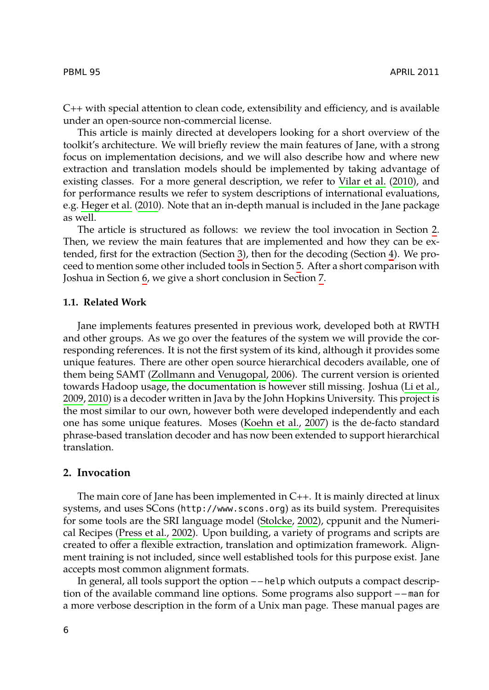#### PBML 95 [APRIL](#page-12-0) 2011

C++ with special attention to clean code, extensibility and efficiency, and is availab[le](#page-1-0) under an open-source non-commercial license.

This article is mainly directed at developers looking for a short overview of the toolkit's architecture. We will briefly r[ev](#page-2-0)iew the main features of Jane, w[it](#page-5-0)h a strong focus on implementation decisions, and we will al[so](#page-9-0) describe how and where new extraction and tr[an](#page-9-1)slation models should be implemen[ted](#page-10-1) by taking advantage of existing classes. For a more general description, we refer to Vilar et al. (2010), and for performance results we refer to system descriptions of international evaluations, e.g. Heger et al. (2010). Note that an in-depth manual is included in the Jane package as well.

<span id="page-1-1"></span>The article is structured as follows: we review the tool invocation in Section 2. Then, we review the main features that are implemented and how they can be extended, first for the extraction (Section 3), then [for t](#page-12-1)he decoding (Section 4). We proceed to mention so[me other included tools in S](#page-12-1)ection 5. After a short compari[son with](#page-11-0) [Joshu](#page-11-0)[a in S](#page-11-1)ection 6, we give a short conclusion in Section 7.

#### **1.1. Related Work**

<span id="page-1-0"></span>Jane implements features presented in previous work, developed both at RWTH and other groups. As we go over the features of the system we will provide the corresponding references. It is not the first system of its kind, although it provides some unique features. There are other open source hierarchical decoders available, one of them being SAMT (Zollmann and Venugopal, 2006). The current version is oriented towards Hadoop usage, the documentation is however still missing. Joshua (Li et al., 2009, 2010) is a decoder written in Java by the John Hopkins University. This project is the most similar to our own, however both [were develop](#page-12-2)ed independently and each one has so[me unique f](#page-11-2)e[ature](#page-11-2)s. Moses (Koehn et al., 2007) is the de-facto standard phrase-based translation decoder and has now been extended to support hierarchical translation.

#### **2. Invocation**

The main core of Jane has been implemented in C++. It is mainly directed at linux systems, and uses SCons (http://www.scons.org) as its build system. Prerequisites for some tools are the SRI language model (Stolcke, 2002), cppunit and the Numerical Recipes (Press et al., 2002). Upon building, a variety of programs and scripts are created to offer a flexible extraction, translation and optimization framework. Alignment training is not included, since well established tools for this purpose exist. Jane accepts most common alignment formats.

In general, all tools support the option – – help which outputs a compact description of the available command line options. Some programs also support – – man for a more verbose description in the form of a Unix man page. These manual pages are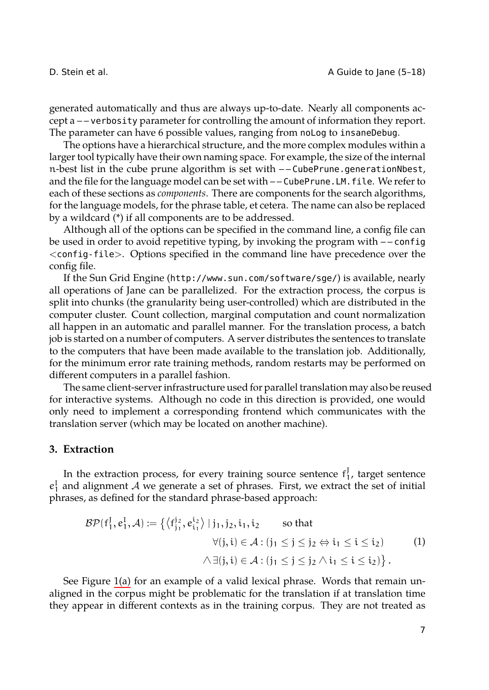D. Stein et al. **D.** Stein et al. **A** Guide to Jane (5-18)

generated automatically and thus are always up-to-date. Nearly all components accept a – – verbosity parameter for controlling the amount of information they report. The parameter can have 6 possible values, ranging from noLog to insaneDebug.

The options have a hierarchical structure, and the more complex modules within a larger tool typically have their own naming space. For example, the size of the internal n-best list in the cube prune algorithm is set with – – CubePrune.generationNbest, and the file for the language model can be set with -- CubePrune. LM. file. We refer to each of these sections as *components*. There are components for the search algorithms, for the language models, for the phrase table, et cetera. The name can also be replaced by a wildcard (\*) if all components are to be addressed.

Although all of the options can be specified in the command line, a config file can be used in order to avoid repetitive typing, by invoking the program with – – config <config-file>. Options specified in the command line have precedence over the config file.

If the Sun Grid Engine (http://www.sun.com/software/sge/) is available, nearly all operations of Jane can be parallelized. For the extraction process, the corpus is split into chunks (the granularity being user-controlled) which are distributed in the computer cluster. Count collection, marginal computation and count normalization all happen in an automatic and parallel manner. For the translation process, a batch job is started on a number of computers. A server distributes the sentences to translate to the computers that have been made available to the translation job. Additionally, for the minimum error rate training methods, random restarts may be performed on different computers in a parallel fashion.

<span id="page-2-1"></span><span id="page-2-0"></span>The same client-server infrastructure used for parallel translation may also be reused for interactive systems. Although no code in this direction is provided, one would only need to implement a corresponding frontend which communicates with the translation server (which may be located on another machine).

### **3. Extraction**

In the extr[actio](#page-3-0)n process, for every training source sentence  $f_1^J$ , target sentence  $e_1^I$  and alignment *A* we generate a set of phrases. First, we extract the set of initial phrases, as defined for the standard phrase-based approach:

$$
\mathcal{BP}(f_1^J, e_1^I, \mathcal{A}) := \left\{ \langle f_{j_1}^{j_2}, e_{i_1}^{i_2} \rangle \mid j_1, j_2, i_1, i_2 \qquad \text{so that} \qquad \forall (j, i) \in \mathcal{A} : (j_1 \leq j \leq j_2 \Leftrightarrow i_1 \leq i \leq i_2) \qquad (1) \qquad \qquad \wedge \exists (j, i) \in \mathcal{A} : (j_1 \leq j \leq j_2 \wedge i_1 \leq i \leq i_2) \right\}.
$$

See Figure 1(a) for an example of a valid lexical phrase. Words that remain unaligned in the corpus might be problematic for the translation if at translation time they appear in different contexts as in the training corpus. They are not treated as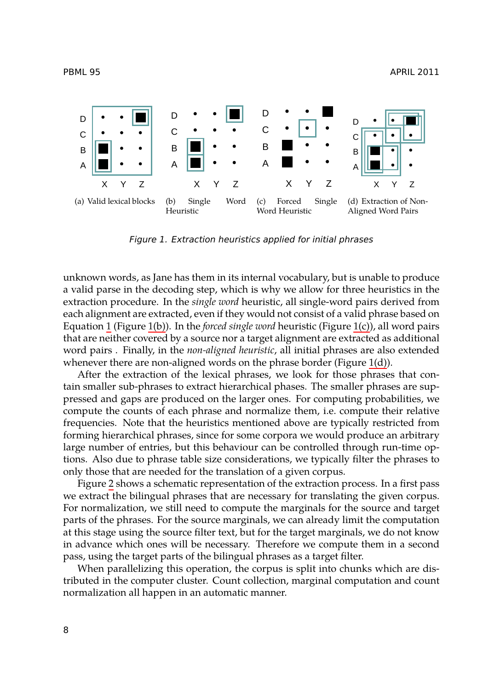<span id="page-3-2"></span><span id="page-3-1"></span><span id="page-3-0"></span>



<span id="page-3-3"></span>*Figure 1. Extraction heuristics applied for initial phrase[s](#page-3-3)*

unknown words, as Jane has them in its internal vocabulary, but is unable to produce a valid parse in the decoding step, which is why we allow for three heuristics in the extraction procedure. In the *single word* heuristic, all single-word pairs derived from each alignment are extracted, even if they would not consist of a valid phrase based on Equation 1 (Figure 1(b)). In the *forced single word* heuristic (Figure 1(c)), all word pairs that are neither covered by a source nor a target alignment are extracted as additional word pairs . Finally, in the *non-aligned heuristic*, all initial phrases are also extended whenever there are non-aligned words on the phrase border (Figure 1(d)).

After t[h](#page-4-0)e extraction of the lexical phrases, we look for those phrases that contain smaller sub-phrases to extract hierarchical phases. The smaller phrases are suppressed and gaps are produced on the larger ones. For computing probabilities, we compute the counts of each phrase and normalize them, i.e. compute their relative frequencies. Note that the heuristics mentioned above are typically restricted from forming hierarchical phrases, since for some corpora we would produce an arbitrary large number of entries, but this behaviour can be controlled through run-time options. Also due to phrase table size considerations, we typically filter the phrases to only those that are needed for the translation of a given corpus.

Figure 2 shows a schematic representation of the extraction process. In a first pass we extract the bilingual phrases that are necessary for translating the given corpus. For normalization, we still need to compute the marginals for the source and target parts of the phrases. For the source marginals, we can already limit the computation at this stage using the source filter text, but for the target marginals, we do not know in advance which ones will be necessary. Therefore we compute them in a second pass, using the target parts of the bilingual phrases as a target filter.

When parallelizing this operation, the corpus is split into chunks which are distributed in the computer cluster. Count collection, marginal computation and count normalization all happen in an automatic manner.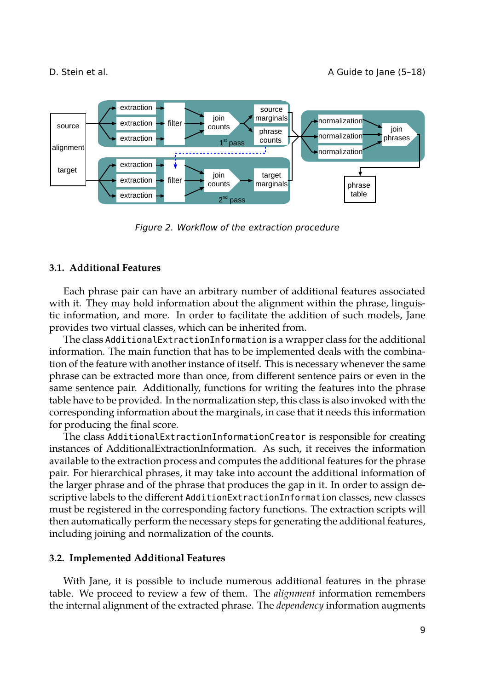

<span id="page-4-0"></span>*Figure 2. Workflow of the extraction procedure*

### <span id="page-4-1"></span>**3.1. Additional Features**

Each phrase pair can have an arbitrary number of additional features associated with it. They may hold information about the alignment within the phrase, linguistic information, and more. In order to facilitate the addition of such models, Jane provides two virtual classes, which can be inherited from.

The class AdditionalExtractionInformation is a wrapper class for the additional information. The main function that has to be implemented deals with the combination of the feature with another instance of itself. This is necessary whenever the same phrase can be extracted more than once, from different sentence pairs or even in the same sentence pair. Additionally, functions for writing the features into the phrase table have to be provided. In the normalization step, this class is also invoked with the corresponding information about the marginals, in case that it needs this information for producing the final score.

The class AdditionalExtractionInformationCreator is responsible for creating instances of AdditionalExtractionInformation. As such, it receives the information available to the extraction process and computes the additional features for the phrase pair. For hierarchical phrases, it may take into account the additional information of the larger phrase and of the phrase that produces the gap in it. In order to assign descriptive labels to the different AdditionExtractionInformation classes, new classes must be registered in the corresponding factory functions. The extraction scripts will then automatically perform the necessary steps for generating the additional features, including joining and normalization of the counts.

#### <span id="page-4-2"></span>**3.2. Implemented Additional Features**

With Jane, it is possible to include numerous additional features in the phrase table. We proceed to review a few of them. The *alignment* information remembers the internal alignment of the extracted phrase. The *dependency* information augments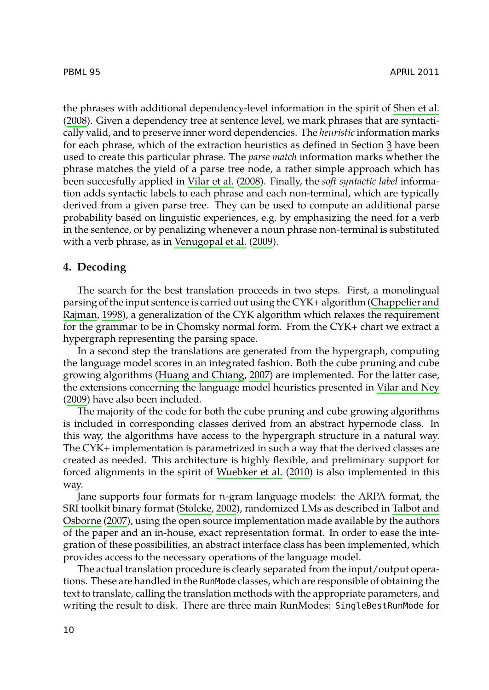<span id="page-5-0"></span>the phrases with additional dependency-level information in the spirit of Shen et al. (2008). Given a dependency tree at sentence level, we mark phrases that are syntactically valid, and to preser[ve inner word dependen](#page-12-3)cies. The *heuristic* information marks for each phrase, which of the extraction heuristics as defined in Section 3 have been used to create this particular phrase. The *parse match* information marks whether the phrase matches the yield of a parse tree node, a rather simple approach which has been succesfully applied in Vilar et al. (2008). Finally, the *soft syntactic label* information adds syntactic labels to each phrase and each non-terminal, whi[ch are typically](#page-10-2) [derived from](#page-10-2) a given parse tree. They can be used to compute an additional parse probability based on linguistic experiences, e.g. by emphasizing the need for a verb in the sentence, or by penalizing whenever a noun phrase non-terminal is substituted with a verb phrase, as in Venugopal et al. (2009).

#### **4. Decoding**

[Th](#page-12-4)e search for the best translation proceeds in two steps. First, a monolingual parsing of the input sentence is carried out using the CYK+ algorithm (Chappelier and Rajman, 1998), a generalization of the CYK algorithm which relaxes the requirement for the grammar to be in Chomsky normal form. From the CYK+ chart we extract a hypergraph representing the parsing space.

In a second step the translations are generated from the hypergraph, computing the language model scores in an i[ntegrated fashion. Bot](#page-12-5)h the cube pruning and cube growing algorithms (Huang and Chiang, 2007) are implemented. For the latter case, the extensions concerning [the language](#page-12-2) model heuristics presented in Vil[ar and Ney](#page-12-6) [\(2009\) ha](#page-12-6)ve also been included.

The m[ajorit](#page-12-6)y of the code for both the cube pruning and cube growing algorithms is included in corresponding classes derived from an abstract hypernode class. In this way, the algorithms have access to the hypergraph structure in a natural way. The CYK+ implementation is parametrized in such a way that the derived classes are created as needed. This architecture is highly flexible, and preliminary support for forced alignments in the spirit of Wuebker et al. (2010) is also implemented in this way.

Jane supports four formats for n-gram language models: the ARPA format, the SRI toolkit binary format (Stolcke, 2002), randomized LMs as described in Talbot and Osborne (2007), using the open source implementation made available by the authors of the paper and an in-house, exact representation format. In order to ease the integration of these possibilities, an abstract interface class has been implemented, which provides access to the necessary operations of the language model.

The actual translation procedure is clearly separated from the input/output operations. These are handled in the RunMode classes, which are responsible of obtaining the text to translate, calling the translation methods with the appropriate parameters, and writing the result to disk. There are three main RunModes: SingleBestRunMode for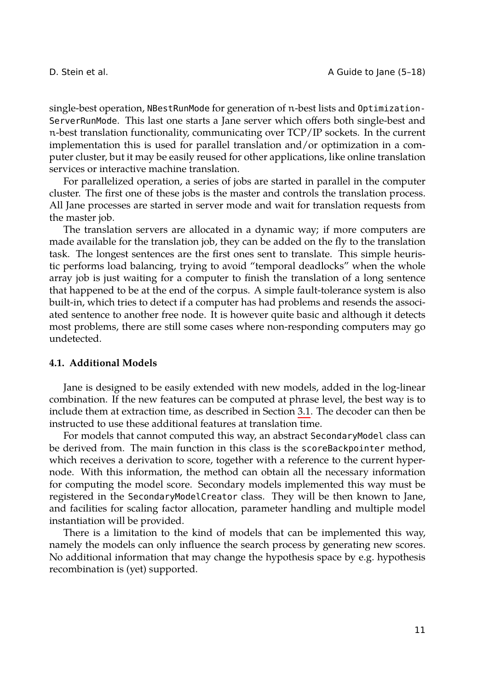D. Stein et al. **D.** Stein et al. **A** Guide to Jane (5-18)

single-best operation, NBestRunMode for generation of n-best lists and Optimization-ServerRunMode. This last one starts a Jane server which offers both single-best and n-best translation functionality, communicating over TCP/IP sockets. In the current implementation this is used for parallel translation and/or optimization in a computer cluster, but it may be easily reused for other applications, like online translation services or interactive machine translation.

For parallelized operation, a series of jobs are started in parallel in the computer cluster. The first one of these jobs is the master and controls the translation process. All Jane processes are started in server mode and wait for translation requests from the master job.

The translation servers are allocated in a dynamic way; if more computers are made available for the translation job, they can be added on the fly to the translation task. The longest sentences are the first ones sent to translate. This simple heuristic performs load balancing, trying to avoid "temporal deadlocks" when the whole array job is just waiting for a computer to finish the translation of a long sentence that happened to be at the end of the corpus. A simple fault-tolerance system is also built-in, which tries to detect if a computer has had pro[blem](#page-4-1)s and resends the associated sentence to another free node. It is however quite basic and although it detects most problems, there are still some cases where non-responding computers may go undetected.

### **4.1. Additional Models**

Jane is designed to be easily extended with new models, added in the log-linear combination. If the new features can be computed at phrase level, the best way is to include them at extraction time, as described in Section 3.1. The decoder can then be instructed to use these additional features at translation time.

For models that cannot computed this way, an abstract SecondaryModel class can be derived from. The main function in this class is the scoreBackpointer method, which receives a derivation to score, together with a reference to the current hypernode. With this information, the method can obtain all the necessary information for computing the model score. Secondary models implemented this way must be registered in the SecondaryModelCreator class. They will be then known to Jane, and facilities for scaling factor allocation, parameter handling and multiple model instantiation will be provided.

There is a limitation to the kind of models that can be implemented this way, namely the models can only influence the search process by generating new scores. No additional information that may change the hypothesis space by e.g. hypothesis recombination is (yet) supported.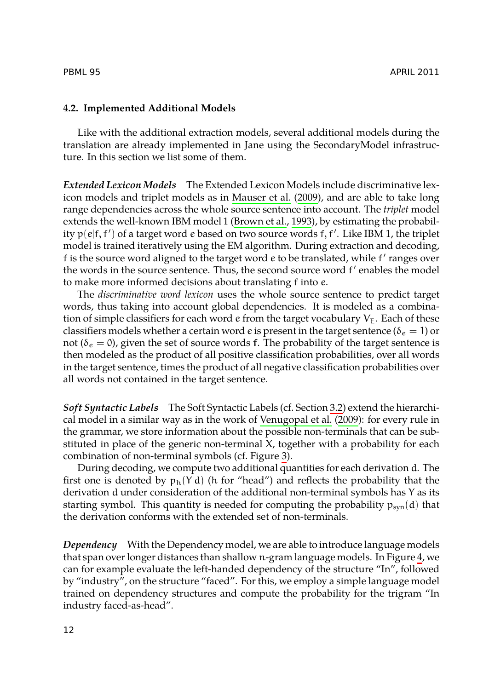### **4.2. Implemented Additional Model[s](#page-10-3)**

Like with the additional extraction models, several additional models during the translation are already implemented in Jane using the SecondaryModel infrastructure. In this section we list some of them.

*Extended Lexicon Models* The Extended Lexicon Models include discriminative lexicon models and triplet models as in Mauser et al. (2009), and are able to take long range dependencies across the whole source sentence into account. The *triplet* model extends the well-known IBM model 1 (Brown et al., 1993), by estimating the probability p(e|f, f*′* ) of a target word e based on two source words f, f*′* . Like IBM 1, the triplet model is trained iteratively using the EM algorithm. During extraction and decoding, f is the source word aligned to the target word e to be translated, while f *′* ranges over the words in the source sentence. Thus, the second source word f *′* enables the model to make more informed decisions about translating f into e.

The *discriminative word lexicon* uses the whole source s[ente](#page-4-2)nce to predict target words, thus taking into account global de[pendencies. It is](#page-12-3) [mode](#page-12-3)led as a combination of simple classifiers for each word e from the target vocabulary  $V_{E}$ . Each of these classifiers models whether a certain word e is present in the target sentence ( $\delta_e = 1$ ) or not ( $\delta_e = 0$ ), given the set of source words f. The [p](#page-8-0)robability of the target sentence is then modeled as the product of all positive classification probabilities, over all words in the target sentence, times the product of all negative classification probabilities over all words not contained in the target sentence.

*Soft Syntactic Labels* The Soft Syntactic Labels (cf. Section 3.2) extend the hierarchical model in a similar way as in the work of Venugopal et al. (2009): for every rule in the grammar, we store information about the possible non-terminals that can be substituted in place of the generic non-terminal X, together with a probability for [e](#page-8-1)ach combination of non-terminal symbols (cf. Figure 3).

During decoding, we compute two additional quantities for each derivation d. The first one is denoted by  $p_h(Y|d)$  (h for "head") and reflects the probability that the derivation d under consideration of the additional non-terminal symbols has Y as its starting symbol. This quantity is needed for computing the probability  $p_{syn}(d)$  that the derivation conforms with the extended set of non-terminals.

*Dependency* With the Dependency model, we are able to introduce language models that span over longer distances than shallow n-gram language models. In Figure 4, we can for example evaluate the left-handed dependency of the structure "In", followed by "industry", on the structure "faced". For this, we employ a simple language model trained on dependency structures and compute the probability for the trigram "In industry faced-as-head".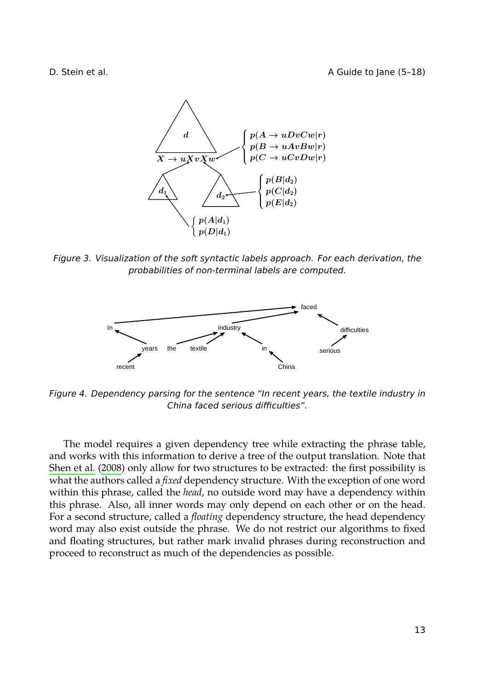D. Stein et al. **A Guide to Jane (5-18)** 

<span id="page-8-0"></span>

*Figure 3. Visualization of the soft syntactic labels approach. For each derivation, the probabilities of non-terminal labels are computed.*

<span id="page-8-1"></span>

*Figure 4. Dependency parsing for the sentence "In recent years, the textile industry in China faced serious difficulties".*

The model requires a given dependency tree while extracting the phrase table, and works with this information to derive a tree of the output translation. Note that Shen et al. (2008) only allow for two structures to be extracted: the first possibility is what the authors called a *fixed* dependency structure. With the exception of one word within this phrase, called the *head*, no outside word may have a dependency within this phrase. Also, all inner words may only depend on each other or on the head. For a second structure, called a *floating* dependency structure, the head dependency word may also exist outside the phrase. We do not restrict our algorithms to fixed and floating structures, but rather mark invalid phrases during reconstruction and proceed to reconstruct as much of the dependencies as possible.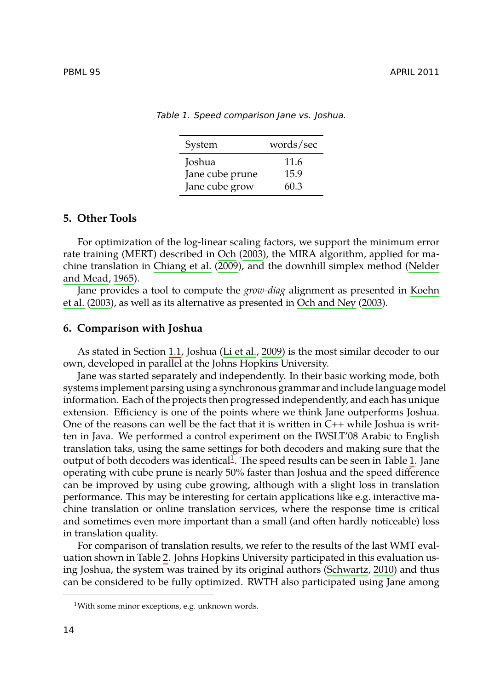<span id="page-9-0"></span>

<span id="page-9-3"></span>*Table 1. Speed comparison Jane vs. Joshua.*

| System          | words/sec |  |
|-----------------|-----------|--|
| Joshua          | 11.6      |  |
| Jane cube prune | 15.9      |  |
| Jane cube grow  | 60.3      |  |

#### <span id="page-9-1"></span>**5. Other Tools**

For optimization of [the](#page-1-1) log-linea[r scaling facto](#page-11-0)rs, we support the minimum error rate training (MERT) described in Och (2003), the MIRA algorithm, applied for machine translation in Chiang et al. (2009), and the downhill simplex method (Nelder and Mead, 1965).

Jane provides a tool to compute the *grow-diag* alignment as presented in Koehn et al. (2003), as well as its alternative as presented in Och and Ney (2003).

#### **6. Comparison with Joshua**

As stated in Section 1.1, Joshua (L[i](#page-9-2) et al., 2009) is the most similar decoder [t](#page-9-3)o our own, developed in parallel at the Johns Hopkins University.

Jane was started separately and independently. In their basic working mode, both systems implement parsing using a synchronous grammar and include language model information. Each of the projects then progressed independently, and each has unique extension. Efficiency is one of the points where we think Jane outperforms Joshua. One of the reasons can well be the fact that it is written in  $C_{++}$  while Joshua is written in Java. We performed a control experiment on the IWSLT'08 Arabic to English translation taks, using [t](#page-10-4)he same settings for both decoders and making sure that the output of both decoders was identical $^1.$  The speed results c[an be seen in Ta](#page-11-5)ble 1. Jane operating with cube prune is nearly 50% faster than Joshua and the speed difference can be improved by using cube growing, although with a slight loss in translation performance. This may be interesting for certain applications like e.g. interactive machine translation or online translation services, where the response time is critical and sometimes even more important than a small (and often hardly noticeable) loss in translation quality.

<span id="page-9-2"></span>For comparison of translation results, we refer to the results of the last WMT evaluation shown in Table 2. Johns Hopkins University participated in this evaluation using Joshua, the system was trained by its original authors (Schwartz, 2010) and thus can be considered to be fully optimized. RWTH also participated using Jane among

<sup>&</sup>lt;sup>1</sup>With some minor exceptions, e.g. unknown words.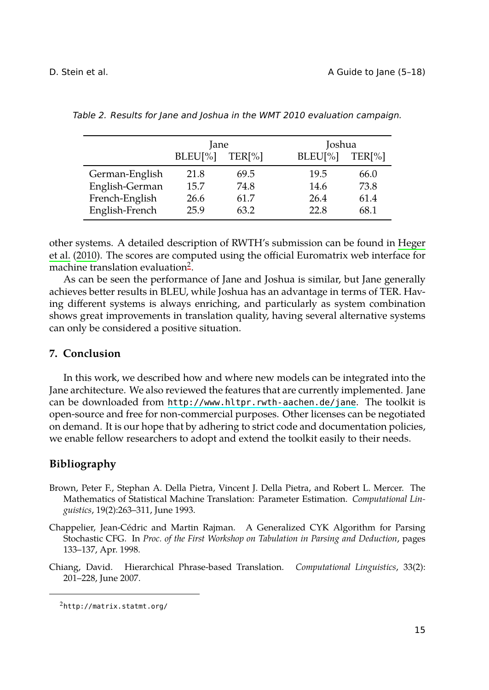<span id="page-10-4"></span>D. Stein et al. **D.** Stein et al. **A** Guide to Jane (5-18)

|                | Jane    |                    |         | Joshua             |  |
|----------------|---------|--------------------|---------|--------------------|--|
|                | BLEU[%] | TER <sup>[%]</sup> | BLEU[%] | TER <sup>[%]</sup> |  |
| German-English | 21.8    | 69.5               | 19.5    | 66.0               |  |
| English-German | 15.7    | 74.8               | 14.6    | 73.8               |  |
| French-English | 26.6    | 61.7               | 26.4    | 61.4               |  |
| English-French | 25.9    | 63.2               | 22.8    | 68.1               |  |

*Table 2. Results for Jane and Joshua in the WMT 2010 evaluation campaign.*

<span id="page-10-1"></span>other systems. A detailed description of RWTH's submission can be found in Heger et al. (2010). The scores are computed using the official Euromatrix web interface for machine translation evaluation<sup>2</sup>.

As can be seen the performance of Jane and Joshua is similar, but Jane generally achieves better results in B[LEU, while Joshua has an advantage in term](http://www.hltpr.rwth-aachen.de/jane)s of TER. Having different systems is always enriching, and particularly as system combination shows great improvements in translation quality, having several alternative systems can only be considered a positive situation.

# **7. Conclusion**

<span id="page-10-3"></span><span id="page-10-2"></span>In this work, we described how and where new models can be integrated into the Jane architecture. We also reviewed the features that are currently implemented. Jane can be downloaded from http://www.hltpr.rwth-aachen.de/jane. The toolkit is open-source and free for non-commercial purposes. Other licenses can be negotiated on demand. It is our hope that by adhering to strict code and documentation policies, we enable fellow researchers to adopt and extend the toolkit easily to their needs.

# <span id="page-10-0"></span>**Bibliography**

- <span id="page-10-5"></span>Brown, Peter F., Stephan A. Della Pietra, Vincent J. Della Pietra, and Robert L. Mercer. The Mathematics of Statistical Machine Translation: Parameter Estimation. *Computational Linguistics*, 19(2):263–311, June 1993.
- Chappelier, Jean-Cédric and Martin Rajman. A Generalized CYK Algorithm for Parsing Stochastic CFG. In *Proc. of the First Workshop on Tabulation in Parsing and Deduction*, pages 133–137, Apr. 1998.
- Chiang, David. Hierarchical Phrase-based Translation. *Computational Linguistics*, 33(2): 201–228, June 2007.

<sup>2</sup>http://matrix.statmt.org/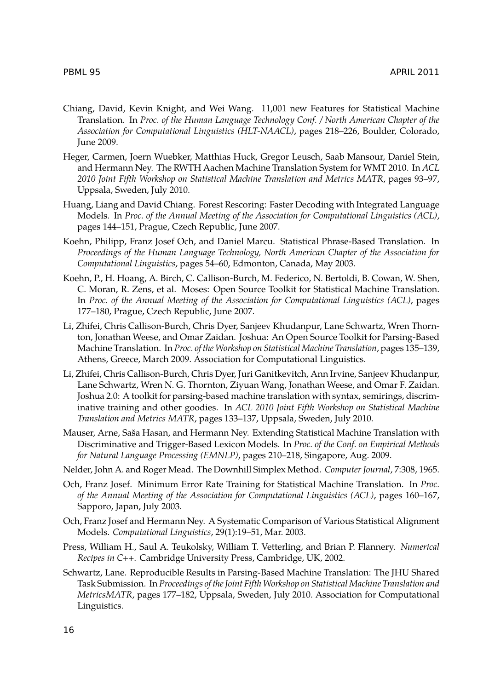- <span id="page-11-3"></span>Chiang, David, Kevin Knight, and Wei Wang. 11,001 new Features for Statistical Machine Translation. In *Proc. of the Human Language Technology Conf. / North American Chapter of the Association for Computational Linguistics (HLT-NAACL)*, pages 218–226, Boulder, Colorado, June 2009.
- Heger, Carmen, Joern Wuebker, Matthias Huck, Gregor Leusch, Saab Mansour, Daniel Stein, and Hermann Ney. The RWTH Aachen Machine Translation System for WMT 2010. In *ACL 2010 Joint Fifth Workshop on Statistical Machine Translation and Metrics MATR*, pages 93–97, Uppsala, Sweden, July 2010.
- Huang, Liang and David Chiang. Forest Rescoring: Faster Decoding with Integrated Language Models. In *Proc. of the Annual Meeting of the Association for Computational Linguistics (ACL)*, pages 144–151, Prague, Czech Republic, June 2007.
- Koehn, Philipp, Franz Josef Och, and Daniel Marcu. Statistical Phrase-Based Translation. In *Proceedings of the Human Language Technology, North American Chapter of the Association for Computational Linguistics*, pages 54–60, Edmonton, Canada, May 2003.
- Koehn, P., H. Hoang, A. Birch, C. Callison-Burch, M. Federico, N. Bertoldi, B. Cowan, W. Shen, C. Moran, R. Zens, et al. Moses: Open Source Toolkit for Statistical Machine Translation. In *Proc. of the Annual Meeting of the Association for Computational Linguistics (ACL)*, pages 177–180, Prague, Czech Republic, June 2007.
- <span id="page-11-0"></span>Li, Zhifei, Chris Callison-Burch, Chris Dyer, Sanjeev Khudanpur, Lane Schwartz, Wren Thornton, Jonathan Weese, and Omar Zaidan. Joshua: An Open Source Toolkit for Parsing-Based Machine Translation. In *Proc. of the Workshop on Statistical Machine Translation*, pages 135–139, Athens, Greece, March 2009. Association for Computational Linguistics.
- <span id="page-11-1"></span>Li, Zhifei, Chris Callison-Burch, Chris Dyer, Juri Ganitkevitch, Ann Irvine, Sanjeev Khudanpur, Lane Schwartz, Wren N. G. Thornton, Ziyuan Wang, Jonathan Weese, and Omar F. Zaidan. Joshua 2.0: A toolkit for parsing-based machine translation with syntax, semirings, discriminative training and other goodies. In *ACL 2010 Joint Fifth Workshop on Statistical Machine Translation and Metrics MATR*, pages 133–137, Uppsala, Sweden, July 2010.
- Mauser, Arne, Saša Hasan, and Hermann Ney. Extending Statistical Machine Translation with Discriminative and Trigger-Based Lexicon Models. In *Proc. of the Conf. on Empirical Methods for Natural Language Processing (EMNLP)*, pages 210–218, Singapore, Aug. 2009.
- Nelder, John A. and Roger Mead. The Downhill Simplex Method. *Computer Journal*, 7:308, 1965.
- Och, Franz Josef. Minimum Error Rate Training for Statistical Machine Translation. In *Proc. of the Annual Meeting of the Association for Computational Linguistics (ACL)*, pages 160–167, Sapporo, Japan, July 2003.
- <span id="page-11-4"></span>Och, Franz Josef and Hermann Ney. A Systematic Comparison of Various Statistical Alignment Models. *Computational Linguistics*, 29(1):19–51, Mar. 2003.
- <span id="page-11-2"></span>Press, William H., Saul A. Teukolsky, William T. Vetterling, and Brian P. Flannery. *Numerical Recipes in C++*. Cambridge University Press, Cambridge, UK, 2002.
- <span id="page-11-5"></span>Schwartz, Lane. Reproducible Results in Parsing-Based Machine Translation: The JHU Shared Task Submission. In *Proceedings of the Joint Fifth Workshop on Statistical Machine Translation and MetricsMATR*, pages 177–182, Uppsala, Sweden, July 2010. Association for Computational Linguistics.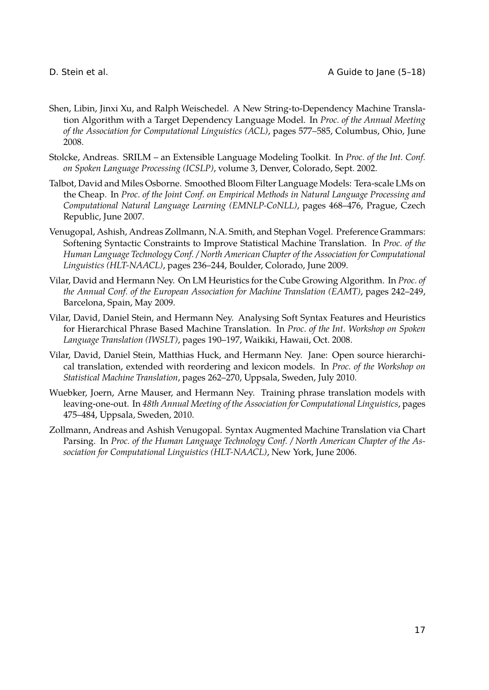- Shen, Libin, Jinxi Xu, and Ralph Weischedel. A New String-to-Dependency Machine Translation Algorithm with a Target Dependency Language Model. In *Proc. of the Annual Meeting of the Association for Computational Linguistics (ACL)*, pages 577–585, Columbus, Ohio, June 2008.
- <span id="page-12-2"></span>Stolcke, Andreas. SRILM – an Extensible Language Modeling Toolkit. In *Proc. of the Int. Conf. on Spoken Language Processing (ICSLP)*, volume 3, Denver, Colorado, Sept. 2002.
- <span id="page-12-6"></span>Talbot, David and Miles Osborne. Smoothed Bloom Filter Language Models: Tera-scale LMs on the Cheap. In *Proc. of the Joint Conf. on Empirical Methods in Natural Language Processing and Computational Natural Language Learning (EMNLP-CoNLL)*, pages 468–476, Prague, Czech Republic, June 2007.
- <span id="page-12-3"></span>Venugopal, Ashish, Andreas Zollmann, N.A. Smith, and Stephan Vogel. Preference Grammars: Softening Syntactic Constraints to Improve Statistical Machine Translation. In *Proc. of the Human Language Technology Conf. / North American Chapter of the Association for Computational Linguistics (HLT-NAACL)*, pages 236–244, Boulder, Colorado, June 2009.
- <span id="page-12-4"></span>Vilar, David and Hermann Ney. On LM Heuristics for the Cube Growing Algorithm. In *Proc. of the Annual Conf. of the European Association for Machine Translation (EAMT)*, pages 242–249, Barcelona, Spain, May 2009.
- Vilar, David, Daniel Stein, and Hermann Ney. Analysing Soft Syntax Features and Heuristics for Hierarchical Phrase Based Machine Translation. In *Proc. of the Int. Workshop on Spoken Language Translation (IWSLT)*, pages 190–197, Waikiki, Hawaii, Oct. 2008.
- <span id="page-12-0"></span>Vilar, David, Daniel Stein, Matthias Huck, and Hermann Ney. Jane: Open source hierarchical translation, extended with reordering and lexicon models. In *Proc. of the Workshop on Statistical Machine Translation*, pages 262–270, Uppsala, Sweden, July 2010.
- <span id="page-12-5"></span>Wuebker, Joern, Arne Mauser, and Hermann Ney. Training phrase translation models with leaving-one-out. In *48th Annual Meeting of the Association for Computational Linguistics*, pages 475–484, Uppsala, Sweden, 2010.
- <span id="page-12-1"></span>Zollmann, Andreas and Ashish Venugopal. Syntax Augmented Machine Translation via Chart Parsing. In *Proc. of the Human Language Technology Conf. / North American Chapter of the Association for Computational Linguistics (HLT-NAACL)*, New York, June 2006.